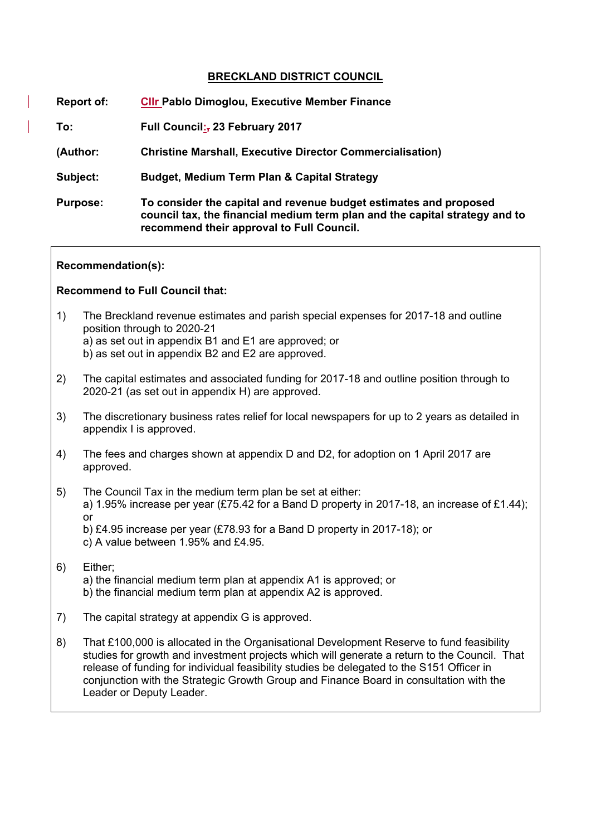#### **BRECKLAND DISTRICT COUNCIL**

| Report of:      | <b>CIIr Pablo Dimoglou, Executive Member Finance</b>                                                                                                                                          |
|-----------------|-----------------------------------------------------------------------------------------------------------------------------------------------------------------------------------------------|
| To:             | Full Council: 23 February 2017                                                                                                                                                                |
| (Author:        | <b>Christine Marshall, Executive Director Commercialisation)</b>                                                                                                                              |
| Subject:        | <b>Budget, Medium Term Plan &amp; Capital Strategy</b>                                                                                                                                        |
| <b>Purpose:</b> | To consider the capital and revenue budget estimates and proposed<br>council tax, the financial medium term plan and the capital strategy and to<br>recommend their approval to Full Council. |

#### **Recommendation(s):**

#### **Recommend to Full Council that:**

- 1) The Breckland revenue estimates and parish special expenses for 2017-18 and outline position through to 2020-21 a) as set out in appendix B1 and E1 are approved; or b) as set out in appendix B2 and E2 are approved.
- 2) The capital estimates and associated funding for 2017-18 and outline position through to 2020-21 (as set out in appendix H) are approved.
- 3) The discretionary business rates relief for local newspapers for up to 2 years as detailed in appendix I is approved.
- 4) The fees and charges shown at appendix D and D2, for adoption on 1 April 2017 are approved.
- 5) The Council Tax in the medium term plan be set at either: a) 1.95% increase per year (£75.42 for a Band D property in 2017-18, an increase of £1.44); or
	- b) £4.95 increase per year (£78.93 for a Band D property in 2017-18); or c) A value between 1.95% and £4.95.
- 6) Either; a) the financial medium term plan at appendix A1 is approved; or b) the financial medium term plan at appendix A2 is approved.
- 7) The capital strategy at appendix G is approved.
- 8) That £100,000 is allocated in the Organisational Development Reserve to fund feasibility studies for growth and investment projects which will generate a return to the Council. That release of funding for individual feasibility studies be delegated to the S151 Officer in conjunction with the Strategic Growth Group and Finance Board in consultation with the Leader or Deputy Leader.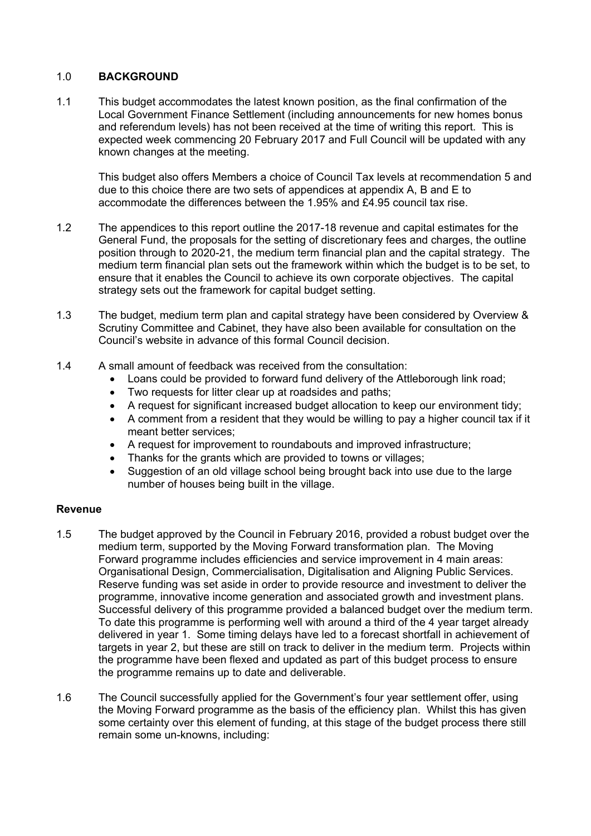### 1.0 **BACKGROUND**

1.1 This budget accommodates the latest known position, as the final confirmation of the Local Government Finance Settlement (including announcements for new homes bonus and referendum levels) has not been received at the time of writing this report. This is expected week commencing 20 February 2017 and Full Council will be updated with any known changes at the meeting.

This budget also offers Members a choice of Council Tax levels at recommendation 5 and due to this choice there are two sets of appendices at appendix A, B and E to accommodate the differences between the 1.95% and £4.95 council tax rise.

- 1.2 The appendices to this report outline the 2017-18 revenue and capital estimates for the General Fund, the proposals for the setting of discretionary fees and charges, the outline position through to 2020-21, the medium term financial plan and the capital strategy. The medium term financial plan sets out the framework within which the budget is to be set, to ensure that it enables the Council to achieve its own corporate objectives. The capital strategy sets out the framework for capital budget setting.
- 1.3 The budget, medium term plan and capital strategy have been considered by Overview & Scrutiny Committee and Cabinet, they have also been available for consultation on the Council's website in advance of this formal Council decision.
- 1.4 A small amount of feedback was received from the consultation:
	- Loans could be provided to forward fund delivery of the Attleborough link road;
	- Two requests for litter clear up at roadsides and paths;
	- A request for significant increased budget allocation to keep our environment tidy;
	- A comment from a resident that they would be willing to pay a higher council tax if it meant better services;
	- A request for improvement to roundabouts and improved infrastructure;
	- Thanks for the grants which are provided to towns or villages;
	- Suggestion of an old village school being brought back into use due to the large number of houses being built in the village.

#### **Revenue**

- 1.5 The budget approved by the Council in February 2016, provided a robust budget over the medium term, supported by the Moving Forward transformation plan. The Moving Forward programme includes efficiencies and service improvement in 4 main areas: Organisational Design, Commercialisation, Digitalisation and Aligning Public Services. Reserve funding was set aside in order to provide resource and investment to deliver the programme, innovative income generation and associated growth and investment plans. Successful delivery of this programme provided a balanced budget over the medium term. To date this programme is performing well with around a third of the 4 year target already delivered in year 1. Some timing delays have led to a forecast shortfall in achievement of targets in year 2, but these are still on track to deliver in the medium term. Projects within the programme have been flexed and updated as part of this budget process to ensure the programme remains up to date and deliverable.
- 1.6 The Council successfully applied for the Government's four year settlement offer, using the Moving Forward programme as the basis of the efficiency plan. Whilst this has given some certainty over this element of funding, at this stage of the budget process there still remain some un-knowns, including: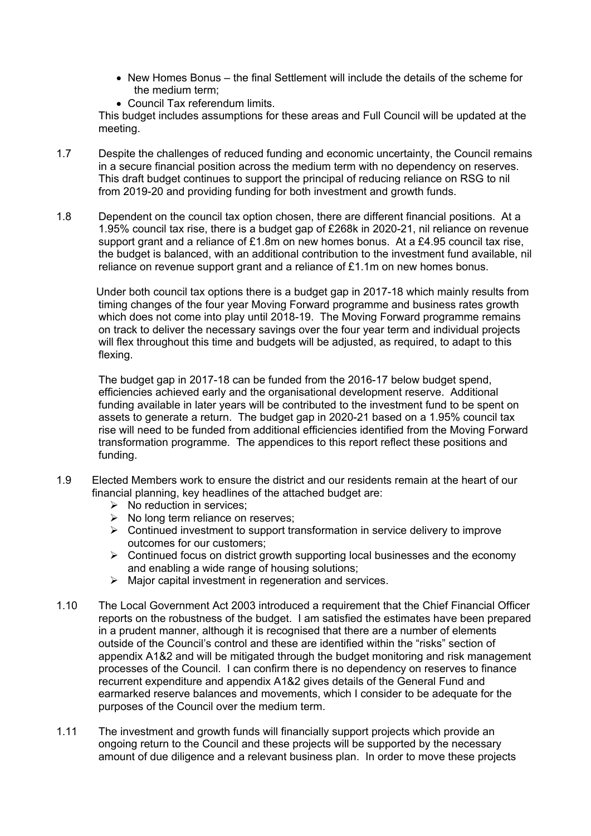- $\bullet$  New Homes Bonus the final Settlement will include the details of the scheme for the medium term;
- Council Tax referendum limits.

This budget includes assumptions for these areas and Full Council will be updated at the meeting.

- 1.7 Despite the challenges of reduced funding and economic uncertainty, the Council remains in a secure financial position across the medium term with no dependency on reserves. This draft budget continues to support the principal of reducing reliance on RSG to nil from 2019-20 and providing funding for both investment and growth funds.
- 1.8 Dependent on the council tax option chosen, there are different financial positions. At a 1.95% council tax rise, there is a budget gap of £268k in 2020-21, nil reliance on revenue support grant and a reliance of £1.8m on new homes bonus. At a £4.95 council tax rise, the budget is balanced, with an additional contribution to the investment fund available, nil reliance on revenue support grant and a reliance of £1.1m on new homes bonus.

 Under both council tax options there is a budget gap in 2017-18 which mainly results from timing changes of the four year Moving Forward programme and business rates growth which does not come into play until 2018-19. The Moving Forward programme remains on track to deliver the necessary savings over the four year term and individual projects will flex throughout this time and budgets will be adjusted, as required, to adapt to this flexing.

The budget gap in 2017-18 can be funded from the 2016-17 below budget spend, efficiencies achieved early and the organisational development reserve. Additional funding available in later years will be contributed to the investment fund to be spent on assets to generate a return. The budget gap in 2020-21 based on a 1.95% council tax rise will need to be funded from additional efficiencies identified from the Moving Forward transformation programme. The appendices to this report reflect these positions and funding.

- 1.9 Elected Members work to ensure the district and our residents remain at the heart of our financial planning, key headlines of the attached budget are:
	- $\triangleright$  No reduction in services;
	- $\triangleright$  No long term reliance on reserves;
	- $\triangleright$  Continued investment to support transformation in service delivery to improve outcomes for our customers;
	- $\triangleright$  Continued focus on district growth supporting local businesses and the economy and enabling a wide range of housing solutions;
	- $\triangleright$  Major capital investment in regeneration and services.
- 1.10 The Local Government Act 2003 introduced a requirement that the Chief Financial Officer reports on the robustness of the budget. I am satisfied the estimates have been prepared in a prudent manner, although it is recognised that there are a number of elements outside of the Council's control and these are identified within the "risks" section of appendix A1&2 and will be mitigated through the budget monitoring and risk management processes of the Council. I can confirm there is no dependency on reserves to finance recurrent expenditure and appendix A1&2 gives details of the General Fund and earmarked reserve balances and movements, which I consider to be adequate for the purposes of the Council over the medium term.
- 1.11 The investment and growth funds will financially support projects which provide an ongoing return to the Council and these projects will be supported by the necessary amount of due diligence and a relevant business plan. In order to move these projects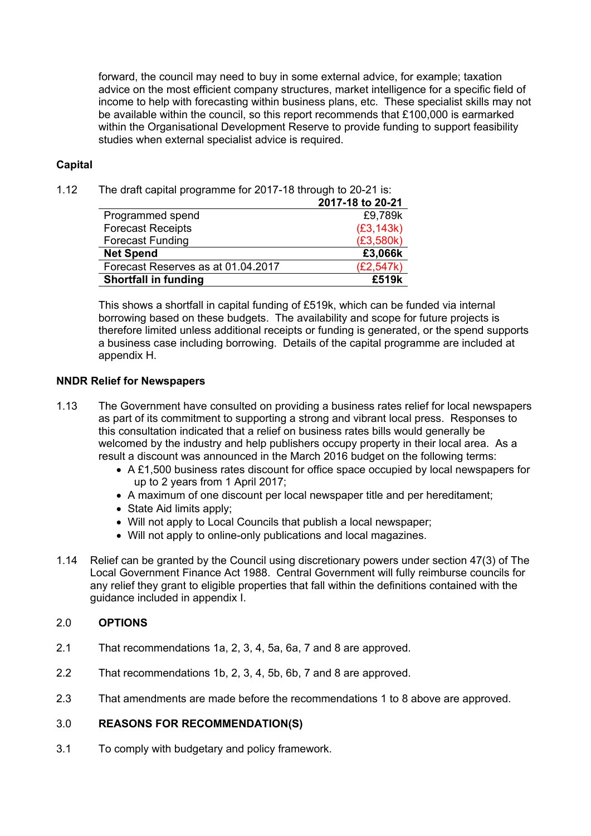forward, the council may need to buy in some external advice, for example; taxation advice on the most efficient company structures, market intelligence for a specific field of income to help with forecasting within business plans, etc. These specialist skills may not be available within the council, so this report recommends that £100,000 is earmarked within the Organisational Development Reserve to provide funding to support feasibility studies when external specialist advice is required.

#### **Capital**

1.12 The draft capital programme for 2017-18 through to 20-21 is:

|                                    | 2017-18 to 20-21 |
|------------------------------------|------------------|
| Programmed spend                   | £9,789k          |
| <b>Forecast Receipts</b>           | (E3, 143k)       |
| <b>Forecast Funding</b>            | (E3,580k)        |
| <b>Net Spend</b>                   | £3,066k          |
| Forecast Reserves as at 01.04.2017 | (E2, 547k)       |
| <b>Shortfall in funding</b>        | £519k            |

This shows a shortfall in capital funding of £519k, which can be funded via internal borrowing based on these budgets. The availability and scope for future projects is therefore limited unless additional receipts or funding is generated, or the spend supports a business case including borrowing. Details of the capital programme are included at appendix H.

#### **NNDR Relief for Newspapers**

- 1.13 The Government have consulted on providing a business rates relief for local newspapers as part of its commitment to supporting a strong and vibrant local press. Responses to this consultation indicated that a relief on business rates bills would generally be welcomed by the industry and help publishers occupy property in their local area. As a result a discount was announced in the March 2016 budget on the following terms:
	- A £1,500 business rates discount for office space occupied by local newspapers for up to 2 years from 1 April 2017;
	- A maximum of one discount per local newspaper title and per hereditament:
	- State Aid limits apply:
	- Will not apply to Local Councils that publish a local newspaper;
	- Will not apply to online-only publications and local magazines.
- 1.14 Relief can be granted by the Council using discretionary powers under section 47(3) of The Local Government Finance Act 1988. Central Government will fully reimburse councils for any relief they grant to eligible properties that fall within the definitions contained with the guidance included in appendix I.

#### 2.0 **OPTIONS**

- 2.1 That recommendations 1a, 2, 3, 4, 5a, 6a, 7 and 8 are approved.
- 2.2 That recommendations 1b, 2, 3, 4, 5b, 6b, 7 and 8 are approved.
- 2.3 That amendments are made before the recommendations 1 to 8 above are approved.

# 3.0 **REASONS FOR RECOMMENDATION(S)**

3.1 To comply with budgetary and policy framework.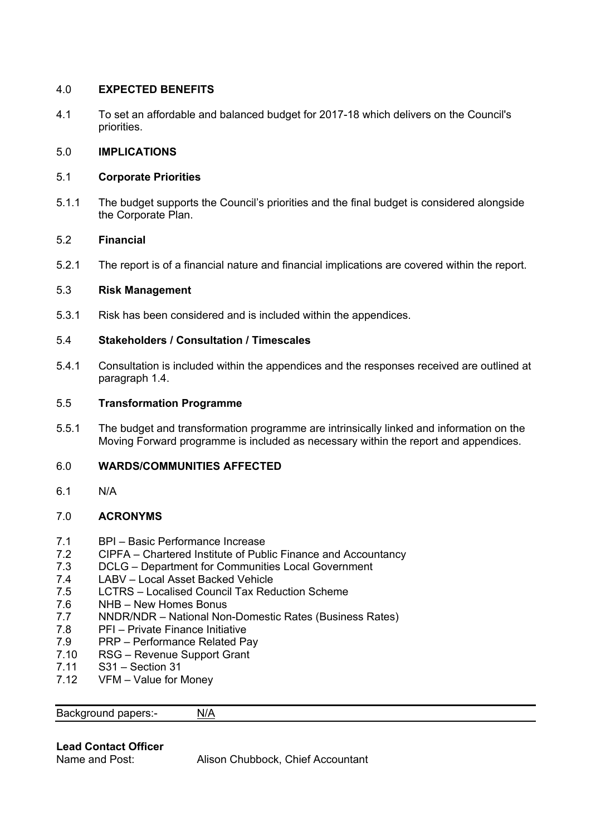# 4.0 **EXPECTED BENEFITS**

4.1 To set an affordable and balanced budget for 2017-18 which delivers on the Council's priorities.

#### 5.0 **IMPLICATIONS**

#### 5.1 **Corporate Priorities**

5.1.1 The budget supports the Council's priorities and the final budget is considered alongside the Corporate Plan.

#### 5.2 **Financial**

5.2.1 The report is of a financial nature and financial implications are covered within the report.

#### 5.3 **Risk Management**

5.3.1 Risk has been considered and is included within the appendices.

#### 5.4 **Stakeholders / Consultation / Timescales**

5.4.1 Consultation is included within the appendices and the responses received are outlined at paragraph 1.4.

#### 5.5 **Transformation Programme**

5.5.1 The budget and transformation programme are intrinsically linked and information on the Moving Forward programme is included as necessary within the report and appendices.

# 6.0 **WARDS/COMMUNITIES AFFECTED**

6.1 N/A

# 7.0 **ACRONYMS**

- 7.1 BPI Basic Performance Increase
- 7.2 CIPFA Chartered Institute of Public Finance and Accountancy
- 7.3 DCLG Department for Communities Local Government
- 7.4 LABV Local Asset Backed Vehicle
- 7.5 LCTRS Localised Council Tax Reduction Scheme
- 7.6 NHB New Homes Bonus
- 7.7 NNDR/NDR National Non-Domestic Rates (Business Rates)
- 7.8 PFI Private Finance Initiative
- 7.9 PRP Performance Related Pay
- 7.10 RSG Revenue Support Grant
- 7.11 S31 Section 31
- 7.12 VFM Value for Money

Background papers:- [N/A](%5CBCF01Democratic%20ServicesCommitteeCommitteeReport%20Guide2014THE%20COMMITTEE%20REPORT%20GUIDE_JUNE%202014.doc)

# **Lead Contact Officer**

Alison Chubbock, Chief Accountant